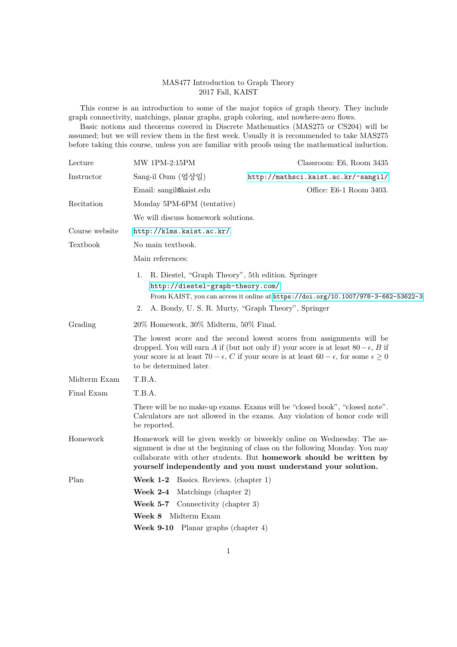## MAS477 Introduction to Graph Theory 2017 Fall, KAIST

This course is an introduction to some of the major topics of graph theory. They include graph connectivity, matchings, planar graphs, graph coloring, and nowhere-zero flows.

Basic notions and theorems covered in Discrete Mathematics (MAS275 or CS204) will be assumed; but we will review them in the first week. Usually it is recommended to take MAS275 before taking this course, unless you are familiar with proofs using the mathematical induction.

| Lecture        | MW 1PM-2:15PM                                                                                                                                                                                                                                                                                                         | Classroom: E6, Room 3435            |
|----------------|-----------------------------------------------------------------------------------------------------------------------------------------------------------------------------------------------------------------------------------------------------------------------------------------------------------------------|-------------------------------------|
| Instructor     | Sang-il Oum (엄상일)                                                                                                                                                                                                                                                                                                     | http://mathsci.kaist.ac.kr/~sangil/ |
|                | Email: sangil@kaist.edu                                                                                                                                                                                                                                                                                               | Office: E6-1 Room 3403.             |
| Recitation     | Monday 5PM-6PM (tentative)                                                                                                                                                                                                                                                                                            |                                     |
|                | We will discuss homework solutions.                                                                                                                                                                                                                                                                                   |                                     |
| Course website | http://klms.kaist.ac.kr/.                                                                                                                                                                                                                                                                                             |                                     |
| Textbook       | No main textbook.                                                                                                                                                                                                                                                                                                     |                                     |
|                | Main references:                                                                                                                                                                                                                                                                                                      |                                     |
|                | R. Diestel, "Graph Theory", 5th edition. Springer<br>1.<br>http://diestel-graph-theory.com/<br>From KAIST, you can access it online at https://doi.org/10.1007/978-3-662-53622-3<br>A. Bondy, U. S. R. Murty, "Graph Theory", Springer<br>2.                                                                          |                                     |
| Grading        | 20% Homework, 30% Midterm, 50% Final.                                                                                                                                                                                                                                                                                 |                                     |
|                | The lowest score and the second lowest scores from assignments will be<br>dropped. You will earn A if (but not only if) your score is at least $80 - \epsilon$ , B if<br>your score is at least 70 – $\epsilon$ , C if your score is at least 60 – $\epsilon$ , for some $\epsilon \geq 0$<br>to be determined later. |                                     |
| Midterm Exam   | T.B.A.                                                                                                                                                                                                                                                                                                                |                                     |
| Final Exam     | T.B.A.                                                                                                                                                                                                                                                                                                                |                                     |
|                | There will be no make-up exams. Exams will be "closed book", "closed note".<br>Calculators are not allowed in the exams. Any violation of honor code will<br>be reported.                                                                                                                                             |                                     |
| Homework       | Homework will be given weekly or biweekly online on Wednesday. The as-<br>signment is due at the beginning of class on the following Monday. You may<br>collaborate with other students. But homework should be written by<br>yourself independently and you must understand your solution.                           |                                     |
| Plan           | Week 1-2<br>Basics. Reviews. (chapter 1)                                                                                                                                                                                                                                                                              |                                     |
|                | Week $2-4$<br>Matchings (chapter 2)                                                                                                                                                                                                                                                                                   |                                     |
|                | Week $5-7$<br>Connectivity (chapter 3)                                                                                                                                                                                                                                                                                |                                     |
|                | Midterm Exam<br>Week 8                                                                                                                                                                                                                                                                                                |                                     |
|                | Week 9-10 Planar graphs (chapter 4)                                                                                                                                                                                                                                                                                   |                                     |